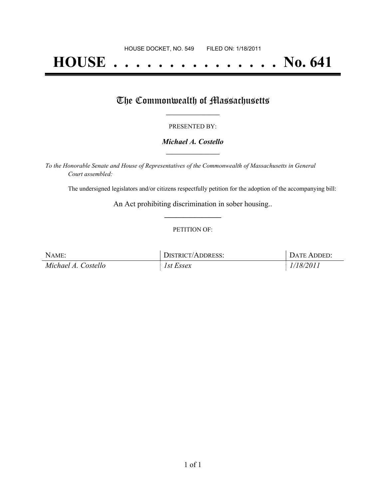# **HOUSE . . . . . . . . . . . . . . . No. 641**

## The Commonwealth of Massachusetts

#### PRESENTED BY:

#### *Michael A. Costello* **\_\_\_\_\_\_\_\_\_\_\_\_\_\_\_\_\_**

*To the Honorable Senate and House of Representatives of the Commonwealth of Massachusetts in General Court assembled:*

The undersigned legislators and/or citizens respectfully petition for the adoption of the accompanying bill:

An Act prohibiting discrimination in sober housing.. **\_\_\_\_\_\_\_\_\_\_\_\_\_\_\_**

#### PETITION OF:

| NAME:               | DISTRICT/ADDRESS: | DATE ADDED: |
|---------------------|-------------------|-------------|
| Michael A. Costello | 1st Essex         | 1/18/2011   |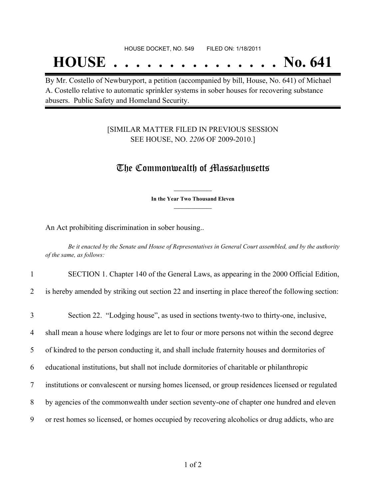# **HOUSE . . . . . . . . . . . . . . . No. 641**

By Mr. Costello of Newburyport, a petition (accompanied by bill, House, No. 641) of Michael A. Costello relative to automatic sprinkler systems in sober houses for recovering substance abusers. Public Safety and Homeland Security.

### [SIMILAR MATTER FILED IN PREVIOUS SESSION SEE HOUSE, NO. *2206* OF 2009-2010.]

### The Commonwealth of Massachusetts

**\_\_\_\_\_\_\_\_\_\_\_\_\_\_\_ In the Year Two Thousand Eleven \_\_\_\_\_\_\_\_\_\_\_\_\_\_\_**

An Act prohibiting discrimination in sober housing..

Be it enacted by the Senate and House of Representatives in General Court assembled, and by the authority *of the same, as follows:*

| $\mathbf{1}$   | SECTION 1. Chapter 140 of the General Laws, as appearing in the 2000 Official Edition,             |
|----------------|----------------------------------------------------------------------------------------------------|
| $\overline{2}$ | is hereby amended by striking out section 22 and inserting in place thereof the following section: |
| $\overline{3}$ | Section 22. "Lodging house", as used in sections twenty-two to thirty-one, inclusive,              |
| $\overline{4}$ | shall mean a house where lodgings are let to four or more persons not within the second degree     |
| 5              | of kindred to the person conducting it, and shall include fraternity houses and dormitories of     |
| 6              | educational institutions, but shall not include dormitories of charitable or philanthropic         |
| $\tau$         | institutions or convalescent or nursing homes licensed, or group residences licensed or regulated  |
| 8              | by agencies of the commonwealth under section seventy-one of chapter one hundred and eleven        |
| 9              | or rest homes so licensed, or homes occupied by recovering alcoholics or drug addicts, who are     |